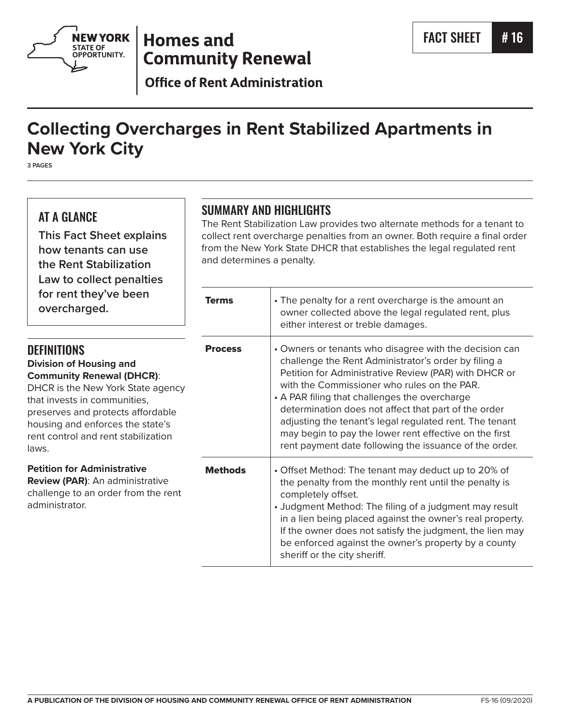

# **Homes and Community Renewal**

**Office of Rent Administration** 

# **Collecting Overcharges in Rent Stabilized Apartments in New York City**

**3 PAGES**

# AT A GLANCE

**This Fact Sheet explains how tenants can use the Rent Stabilization Law to collect penalties**  for ren **overch** 

# SUMMARY AND HIGHLIGHTS

The Rent Stabilization Law provides two alternate methods for a tenant to collect rent overcharge penalties from an owner. Both require a final order from the New York State DHCR that establishes the legal regulated rent and determines a penalty.

| for rent they've been<br>overcharged.                                                                                                                                                                                                                                                  | <b>Terms</b>   | • The penalty for a rent overcharge is the amount an<br>owner collected above the legal regulated rent, plus<br>either interest or treble damages.                                                                                                                                                                                                                                                                                                                                                             |
|----------------------------------------------------------------------------------------------------------------------------------------------------------------------------------------------------------------------------------------------------------------------------------------|----------------|----------------------------------------------------------------------------------------------------------------------------------------------------------------------------------------------------------------------------------------------------------------------------------------------------------------------------------------------------------------------------------------------------------------------------------------------------------------------------------------------------------------|
| <b>DEFINITIONS</b><br><b>Division of Housing and</b><br><b>Community Renewal (DHCR):</b><br>DHCR is the New York State agency<br>that invests in communities,<br>preserves and protects affordable<br>housing and enforces the state's<br>rent control and rent stabilization<br>laws. | <b>Process</b> | • Owners or tenants who disagree with the decision can<br>challenge the Rent Administrator's order by filing a<br>Petition for Administrative Review (PAR) with DHCR or<br>with the Commissioner who rules on the PAR.<br>• A PAR filing that challenges the overcharge<br>determination does not affect that part of the order<br>adjusting the tenant's legal regulated rent. The tenant<br>may begin to pay the lower rent effective on the first<br>rent payment date following the issuance of the order. |
| <b>Petition for Administrative</b><br><b>Review (PAR):</b> An administrative<br>challenge to an order from the rent<br>administrator.                                                                                                                                                  | <b>Methods</b> | • Offset Method: The tenant may deduct up to 20% of<br>the penalty from the monthly rent until the penalty is<br>completely offset.<br>• Judgment Method: The filing of a judgment may result<br>in a lien being placed against the owner's real property.<br>If the owner does not satisfy the judgment, the lien may<br>be enforced against the owner's property by a county<br>sheriff or the city sheriff.                                                                                                 |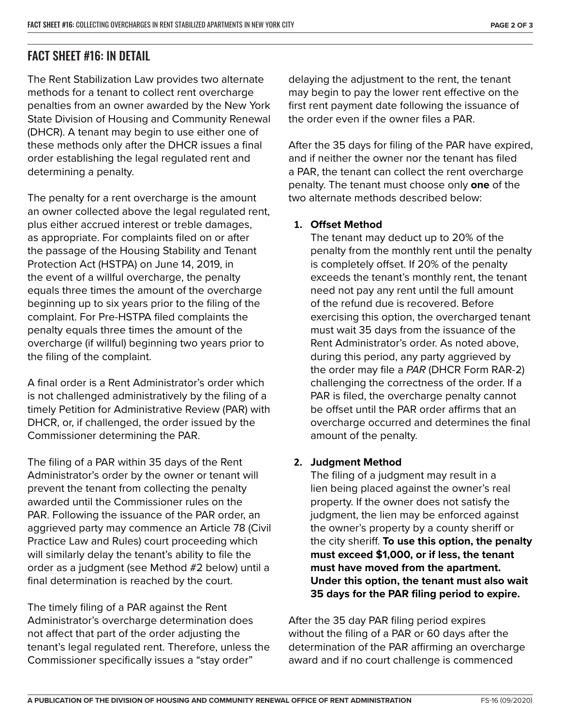# FACT SHEET #16: IN DETAIL

The Rent Stabilization Law provides two alternate methods for a tenant to collect rent overcharge penalties from an owner awarded by the New York State Division of Housing and Community Renewal (DHCR). A tenant may begin to use either one of these methods only after the DHCR issues a final order establishing the legal regulated rent and determining a penalty.

The penalty for a rent overcharge is the amount an owner collected above the legal regulated rent, plus either accrued interest or treble damages, as appropriate. For complaints filed on or after the passage of the Housing Stability and Tenant Protection Act (HSTPA) on June 14, 2019, in the event of a willful overcharge, the penalty equals three times the amount of the overcharge beginning up to six years prior to the filing of the complaint. For Pre-HSTPA filed complaints the penalty equals three times the amount of the overcharge (if willful) beginning two years prior to the filing of the complaint.

A final order is a Rent Administrator's order which is not challenged administratively by the filing of a timely Petition for Administrative Review (PAR) with DHCR, or, if challenged, the order issued by the Commissioner determining the PAR.

The filing of a PAR within 35 days of the Rent Administrator's order by the owner or tenant will prevent the tenant from collecting the penalty awarded until the Commissioner rules on the PAR. Following the issuance of the PAR order, an aggrieved party may commence an Article 78 (Civil Practice Law and Rules) court proceeding which will similarly delay the tenant's ability to file the order as a judgment (see Method #2 below) until a final determination is reached by the court.

The timely filing of a PAR against the Rent Administrator's overcharge determination does not affect that part of the order adjusting the tenant's legal regulated rent. Therefore, unless the Commissioner specifically issues a "stay order"

delaying the adjustment to the rent, the tenant may begin to pay the lower rent effective on the first rent payment date following the issuance of the order even if the owner files a PAR.

After the 35 days for filing of the PAR have expired, and if neither the owner nor the tenant has filed a PAR, the tenant can collect the rent overcharge penalty. The tenant must choose only **one** of the two alternate methods described below:

## **1. Offset Method**

The tenant may deduct up to 20% of the penalty from the monthly rent until the penalty is completely offset. If 20% of the penalty exceeds the tenant's monthly rent, the tenant need not pay any rent until the full amount of the refund due is recovered. Before exercising this option, the overcharged tenant must wait 35 days from the issuance of the Rent Administrator's order. As noted above, during this period, any party aggrieved by the order may file a *PAR* (DHCR Form RAR-2) challenging the correctness of the order. If a PAR is filed, the overcharge penalty cannot be offset until the PAR order affirms that an overcharge occurred and determines the final amount of the penalty.

## **2. Judgment Method**

The filing of a judgment may result in a lien being placed against the owner's real property. If the owner does not satisfy the judgment, the lien may be enforced against the owner's property by a county sheriff or the city sheriff. **To use this option, the penalty must exceed \$1,000, or if less, the tenant must have moved from the apartment. Under this option, the tenant must also wait 35 days for the PAR filing period to expire.**

After the 35 day PAR filing period expires without the filing of a PAR or 60 days after the determination of the PAR affirming an overcharge award and if no court challenge is commenced